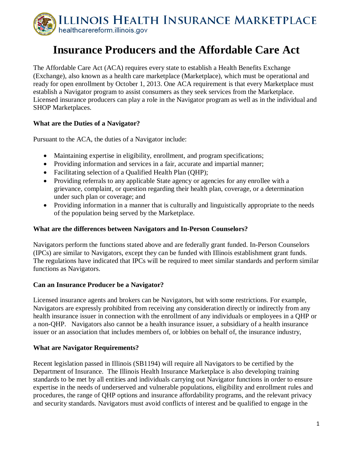

# **Insurance Producers and the Affordable Care Act**

The Affordable Care Act (ACA) requires every state to establish a Health Benefits Exchange (Exchange), also known as a health care marketplace (Marketplace), which must be operational and ready for open enrollment by October 1, 2013. One ACA requirement is that every Marketplace must establish a Navigator program to assist consumers as they seek services from the Marketplace. Licensed insurance producers can play a role in the Navigator program as well as in the individual and SHOP Marketplaces.

## **What are the Duties of a Navigator?**

Pursuant to the ACA, the duties of a Navigator include:

- Maintaining expertise in eligibility, enrollment, and program specifications;
- Providing information and services in a fair, accurate and impartial manner;
- Facilitating selection of a Qualified Health Plan (OHP);
- Providing referrals to any applicable State agency or agencies for any enrollee with a grievance, complaint, or question regarding their health plan, coverage, or a determination under such plan or coverage; and
- Providing information in a manner that is culturally and linguistically appropriate to the needs of the population being served by the Marketplace.

#### **What are the differences between Navigators and In-Person Counselors?**

Navigators perform the functions stated above and are federally grant funded. In-Person Counselors (IPCs) are similar to Navigators, except they can be funded with Illinois establishment grant funds. The regulations have indicated that IPCs will be required to meet similar standards and perform similar functions as Navigators.

## **Can an Insurance Producer be a Navigator?**

Licensed insurance agents and brokers can be Navigators, but with some restrictions. For example, Navigators are expressly prohibited from receiving any consideration directly or indirectly from any health insurance issuer in connection with the enrollment of any individuals or employees in a QHP or a non-QHP. Navigators also cannot be a health insurance issuer, a subsidiary of a health insurance issuer or an association that includes members of, or lobbies on behalf of, the insurance industry,

#### **What are Navigator Requirements?**

Recent legislation passed in Illinois (SB1194) will require all Navigators to be certified by the Department of Insurance. The Illinois Health Insurance Marketplace is also developing training standards to be met by all entities and individuals carrying out Navigator functions in order to ensure expertise in the needs of underserved and vulnerable populations, eligibility and enrollment rules and procedures, the range of QHP options and insurance affordability programs, and the relevant privacy and security standards. Navigators must avoid conflicts of interest and be qualified to engage in the